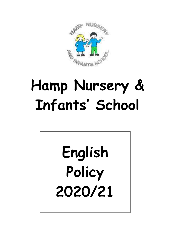

## Hamp Nursery & Infants' School

# English Policy 2020/21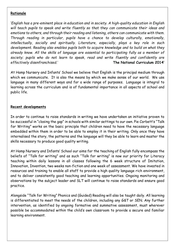#### Rationale

'English has a pre-eminent place in education and in society. A high-quality education in English will teach pupils to speak and write fluently so that they can communicate their ideas and emotions to others, and through their reading and listening, others can communicate with them. Through reading in particular, pupils have a chance to develop culturally, emotionally, intellectually, socially and spiritually. Literature, especially, plays a key role in such development. Reading also enables pupils both to acquire knowledge and to build on what they already know. All the skills of language are essential to participating fully as a member of society; pupils who do not learn to speak, read and write fluently and confidently are effectively disenfranchised.' The National Curriculum 2014'

At Hamp Nursery and Infants' School we believe that English is the principal medium through which we communicate. It is also the means by which we make sense of our world. We use language in many different ways and for a wide range of purposes. Language is integral to learning across the curriculum and is of fundamental importance in all aspects of school and public life.

#### Recent developments

In order to continue to raise standards in writing we have undertaken an initiative proven to be successful in "closing the gap" in schools with similar settings to our own. Pie Corbett's "Talk for Writing" works on the basic principle that children need to have the necessary language embedded within them in order to be able to employ it in their writing. Only once they have internalised the story, the patterns and the language will they be able to learn and master the skills necessary to produce good quality writing.

At Hamp Nursery and Infants' School our aims for the teaching of English fully encompass the beliefs of "Talk for writing" and as such "Talk for writing" is now our priority for Literacy teaching within daily lessons in all classes following the 6 week structure of Imitation, Innovation, Invention, two weeks non-fiction and one week of assessment. We have invested in resources and training to enable all staff to provide a high quality language rich environment, and to deliver consistently good teaching and learning opportunities. Ongoing monitoring and observations by the subject leader and SLT will continue to raise standards and ensure good practice.

Alongside "Talk for Writing" Phonics and (Guided) Reading will also be taught daily. All learning is differentiated to meet the needs of the children, including any G&T or SEN. Any further intervention, as identified by ongoing formative and summative assessment, must wherever possible be accommodated within the child's own classroom to provide a secure and familiar learning environment.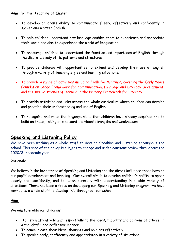#### Aims for the Teaching of English

- To develop children's ability to communicate freely, effectively and confidently in spoken and written English.
- To help children understand how language enables them to experience and appreciate their world and also to experience the world of imagination.
- To encourage children to understand the function and importance of English through the discrete study of its patterns and structures.
- To provide children with opportunities to extend and develop their use of English through a variety of teaching styles and learning situations.
- To provide a range of activities including "Talk for Writing", covering the Early Years Foundation Stage Framework for Communication, Language and Literacy Development, and the twelve strands of learning in the Primary Framework for Literacy.
- To provide activities and links across the whole curriculum where children can develop and practise their understanding and use of English
- To recognise and value the language skills that children have already acquired and to build on these, taking into account individual strengths and weaknesses.

## Speaking and Listening Policy

We have been working as a whole staff to develop Speaking and Listening throughout the school. This area of the policy is subject to change and under constant review throughout the 2020/21 academic year.

#### Rationale

We believe in the importance of Speaking and Listening and the direct influence these have on our pupils' development and learning. Our overall aim is to develop children's ability to speak clearly and confidently, and to listen carefully with understanding in a wide variety of situations. There has been a focus on developing our Speaking and Listening program, we have worked as a whole staff to develop this throughout our school.

#### Aims

We aim to enable our children:

- To listen attentively and respectfully to the ideas, thoughts and opinions of others, in a thoughtful and reflective manner.
- To communicate their ideas, thoughts and opinions effectively.
- To speak clearly, confidently and appropriately in a variety of situations.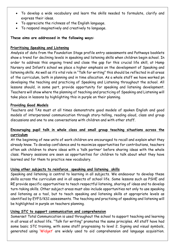- To develop a wide vocabulary and learn the skills needed to formulate, clarify and express their ideas.
- To appreciate the richness of the English language.
- To respond imaginatively and creatively to language.

#### These aims are addressed in the following ways:

#### Prioritising Speaking and Listening

Analysis of data from the Foundation Stage profile entry assessments and Pathways booklets show a trend for declining levels in speaking and listening skills when children begin school. In order to address this ongoing trend and close the gap for this crucial life skill, at Hamp Nursery and Infant's school we place a higher emphasis on the development of Speaking and listening skills. As well as it's vital role in "Talk for writing" this should be reflected in all areas of the curriculum, both in planning and in time allocation. As a whole staff we have worked pn developing the teaching and practicing of Speaking and Listening throughout the school. All lessons should, in some part, provide opportunity for speaking and listening development. Teachers will show where the planning of teaching and practicing of Speaking and Listening will take place in lessons by highlighting this in purple on their planning.

#### Providing Good Models

Teachers and TAs must at all times demonstrate good models of spoken English and good models of interpersonal communication through story-telling, reading aloud, class and group discussions and one to one conversations with children and with other staff.

#### Encouraging pupil talk in whole class and small group teaching situations across the curriculum

At the beginning of new units of work children are encouraged to recall and explain what they already know. To develop confidence and to maximize opportunities for contributions, teachers often ask children to share ideas with a 'talk partner' before sharing ideas with the whole class. Plenary sessions are seen as opportunities for children to talk about what they have learned and for them to practice new vocabulary.

#### Using other subjects to reinforce speaking and listening skills

Speaking and listening is central to learning in all subjects. We endeavour to develop these skills across the curriculum and in all aspects of school life. Some lessons such as PSHE and RE provide specific opportunities to teach respectful listening, sharing of ideas and to develop turn-taking skills. Other subject areas must also include opportunities not only to use speaking and listening as a tool, but to teach speaking and listening skills at appropriate levels as identified by EYFS/KS1 assessments. The teaching and practising of speaking and listening will be highlighted in purple on teachers planning.

#### Using STC to support communication and comprehension

Somerset Total Communication is used throughout the school to support teaching and learning in all areas of school life. "Talk for writing" promotes the same principles. All staff have had some basic STC training, with some staff progressing to level 2. Signing and visual symbols, generated using 'Widget' are widely used to aid comprehension and language acquisition.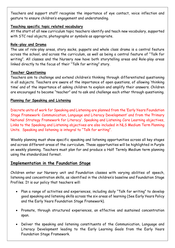Teachers and support staff recognise the importance of eye contact, voice inflection and gesture to ensure children's engagement and understanding.

#### Teaching specific topic related vocabulary

At the start of all new curriculum topic teachers identify and teach new vocabulary, supported with STC real objects, photographs or symbols as appropriate.

#### Role-play and Drama

The use of role-play areas, story sacks, puppets and whole class drama is a central feature across the school, and across the curriculum, as well as being a central feature of "Talk for writing". All classes and the Nursery now have both storytelling areas and Role-play areas linked directly to the focus of their "Talk for writing" story.

#### Teacher Questioning

Teachers aim to challenge and extend children's thinking through differentiated questioning in all subjects. Teachers are aware of the importance of open questions, of allowing 'thinking time' and of the importance of asking children to explain and amplify their answers. Children are encouraged to become "teacher" and to ask and challenge each other through questioning.

#### Planning for Speaking and Listening

Discrete units of work for Speaking and Listening are planned from the 'Early Years Foundation Stage Framework: Communication, Language and Literacy Development' and from the 'Primary National Strategy Framework for Literacy'. Speaking and Listening Core Learning objectives, Links to the Speaking and Listening objectives are also included in NLS Medium Term Planning Units. Speaking and listening is integral to "Talk for writing".

Weekly planning must show specific speaking and listening opportunities across all key stages and across different areas of the curriculum. These opportunities will be highlighted in Purple on weekly planning. Teachers must plan for and produce a Half Termly Medium term planning using the standardized format.

#### Implementation in the Foundation Stage

Children enter our Nursery unit and Foundation classes with varying abilities of speech, listening and concentration skills, as identified in the children's baseline and Foundation Stage Profiles. It is our policy that teachers will:

- Plan a range of activities and experiences, including daily "Talk for writing" to develop good speaking and listening skills across the six areas of learning (See Early Years Policy and the Early Years Foundation Stage Framework).
- Promote, through structured experiences, an effective and sustained concentration span.
- Deliver the speaking and listening constituents of the Communication, Language and Literacy Development leading to the Early Learning Goals from the Early Years Foundation Stage Framework.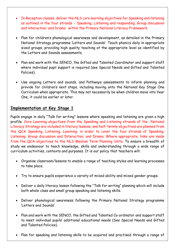- In Reception classes, deliver the NLS core learning objectives for Speaking and listening as outlined in the four strands – 'Speaking; Listening and responding; Group discussion and interaction; and Drama' within the Primary National Literacy Framework.
- Plan for children's phonological awareness and development, as detailed in the Primary National Strategy programme 'Letters and Sounds'. Teach phonics daily in appropriate sized groups, providing high quality teaching at the appropriate level as identified by the Letters and Sounds assessments.
- Plan and work with the SENCO, the Gifted and Talented Coordinator and support staff where individual pupil support is required (see Special Needs and Gifted and Talented Policies).
- Use ongoing Letters and sounds, and Pathways assessments to inform planning and provide for children's next steps, including moving onto the National Key Stage One Curriculum when appropriate. This may not necessarily be when children move into Year One, it could be earlier or later.

#### Implementation at Key Stage 1

Pupils engage in daily "Talk for writing" lessons where speaking and listening are given a high profile. Core Learning objectives from the Speaking and Listening strands of the National Literacy Strategy are included in literacy lessons, and half-termly objectives are planned from the QCA Speaking, Listening, Learning: in order to cover the four strands of Speaking; Listening; Group discussion and Interaction; and Drama. Where appropriate, links are made from the QCA objectives to the NLS Medium Term Planning Units. To ensure a breadth of study we endeavour to teach knowledge, skills and understanding through a wide range of curriculum activities, contexts and purposes. It is our policy that teachers will:

- Organise classroom/lessons to enable a range of teaching styles and learning processes to take place.
- Try to ensure pupils experience a variety of mixed ability and mixed gender groups.
- Deliver a daily literacy lesson following the "Talk for writing" planning which will include both whole class and small group speaking and listening skills.
- Deliver phonological awareness following the Primary National Strategy programme 'Letters and Sounds'.
- Plan and work with the SENCO, the Gifted and Talented Co-ordinator and support staff to meet individual pupils' additional educational needs (See Special Needs and Gifted and Talented Policies).
- Plan for speaking and listening skills to be acquired and practised through a range of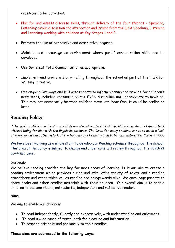cross-curricular activities.

- Plan for and assess discrete skills, through delivery of the four strands Speaking; Listening; Group discussion and interaction and Drama from the QCA Speaking, Listening and Learning: working with children at Key Stages 1 and 2.
- Promote the use of expressive and descriptive language.
- Maintain and encourage an environment where pupils' concentration skills can be developed.
- Use Somerset Total Communication as appropriate.
- Implement and promote story- telling throughout the school as part of the 'Talk for Writing' initiative.
- Use ongoing Pathways and KS1 assessments to inform planning and provide for children's next steps, including continuing on the EYFS curriculum until appropriate to move on. This may not necessarily be when children move into Year One, it could be earlier or later.

## Reading Policy

 "The most proficient writers in any class are always readers. It is impossible to write any type of text without being familiar with the linguistic patterns. The issue for many children is not so much a 'lack of imagination' but rather a lack of the building blocks with which to be imaginative." Pie Corbett 2008

We have been working as a whole staff to develop our Reading schemes throughout the school. This area of the policy is subject to change and under constant review throughout the 2020/21 academic year.

#### Rationale

We believe reading provides the key for most areas of learning. It is our aim to create a reading environment which provides a rich and stimulating variety of texts, and a reading atmosphere and ethos which values reading and brings words alive. We encourage parents to share books and other reading materials with their children. Our overall aim is to enable children to become fluent, enthusiastic, independent and reflective readers.

#### Aims

We aim to enable our children:

- To read independently, fluently and expressively, with understanding and enjoyment.
- To read a wide range of texts, both for pleasure and information.
- To respond critically and personally to their reading.

These aims are addressed in the following ways: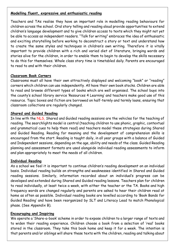#### Modelling fluent, expressive and enthusiastic reading

Teachers and TAs realise they have an important role in modelling reading behaviours for children across the school. Oral story telling and reading aloud provide opportunities to extend children's language development and to give children access to texts which they might not yet be able to access as independent readers. "Talk for writing" embraces the idea of enthusiastic and exciting storytelling before working to deconstruct a story or text and understand how to create the same styles and techniques in children's own writing. Therefore it is vitally important to provide children with a rich and varied diet of literature, bringing words and stories alive for the children, in order to enable them to begin to develop the skills necessary to do this for themselves. Whole class story time is timetabled daily. Parents are encouraged to read to and with their children.

#### Classroom Book Corners

Classrooms must all have their own attractively displayed and welcoming "book" or "reading" corners which children can use independently. All have their own book stocks. Children are able to read and browse different types of books which are well organised. The school buys into the county's school library service 'Resources 4 Learning' and teachers make good use of this resource. Topic boxes and fiction are borrowed on half-termly and termly loans, ensuring that classroom collections are regularly changed.

#### Shared and Guided Reading

In line with the NLS, Shared and Guided reading sessions are the vehicles for the teaching of reading. The searchlights model is central (teaching children to use phonic, graphic, contextual and grammatical cues to help them read) and teachers model these strategies during Shared and Guided Reading. Reading for meaning and the development of comprehension skills is encouraged from the start. Reading is taught daily, in all year groups with a balance of Guided and Independent sessions, depending on the age, ability and needs of the class. Guided Reading planning and assessment formats are used alongside individual reading assessments to inform and plan appropriately to meet the needs of all children.

#### Individual Reading

As a school we feel it is important to continue children's reading development on an individual basis. Individual reading builds on strengths and weaknesses identified in Shared and Guided reading sessions. Similarly, information recorded about an individual's progress can be developed and extended during Shared and Guided reading lessons. Teachers plan for children to read individually, at least twice a week, with either the teacher or the TA. Books and high frequency words are changed regularly and parents are asked to hear their children read at home as often as possible. Individual reading books are levelled according to 'Book Bands for Guided Reading' and have been reorganized by SLT and Literacy Lead to match Phonological phase. (See Appendix B).

#### Encouraging and Inspiring

We operate a 'Share-a-book' scheme in order to expose children to a larger range of texts and to widen their reading experience. Children choose a book from a selection of 'real' books stored in the classroom. They take this book home and keep it for a week. The intention is that parents and/or siblings will share these texts with the children, reading and talking about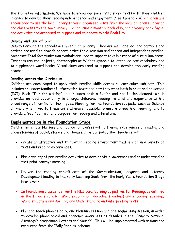the stories or information. We hope to encourage parents to share texts with their children in order to develop their reading independence and enjoyment. (See Appendix A). Children are encouraged to use the local library through organised visits from the local children's librarian and class visits to the town library. School runs a monthly book club, and a yearly book fayre, and activities are organised to support and celebrate World Book Day.

#### Display and Use of STC

Displays around the schools are given high priority. They are well labelled, and captions and notices are used to provide opportunities for discussion and shared and independent reading. Somerset Total Communication symbols are used to support text in a range of curriculum areas. Teachers use real objects, photographs or Widget symbols to introduce new vocabulary and to supplement word banks. Visual clues are used to support and develop the early reading process.

#### Reading across the Curriculum

Children are encouraged to apply their reading skills across all curriculum subjects. This includes an understanding of information texts and how they work both in print and on screen (ICT). Each "Talk for writing" unit includes both a fiction and non-fiction element, which provides an ideal opportunity to enlarge children's reading material and experience with a broad range of non-fiction text types. Planning for the Foundation subjects, such as Science or History is linked to these units wherever possible to ensure breadth of learning, and to provide a "real" context and purpose for reading and Literature.

#### Implementation in the Foundation Stage

Children enter our Nursery and Foundation classes with differing experiences of reading and understanding of books, stories and rhymes. It is our policy that teachers will:

- Create an attractive and stimulating reading environment that is rich in a variety of texts and reading experiences.
- Plan a variety of pre-reading activities to develop visual awareness and an understanding that print conveys meaning.
- Deliver the reading constituents of the Communication, Language and Literacy Development leading to the Early Learning Goals from the Early Years Foundation Stage Framework.
- In Foundation classes, deliver the NLS core learning objectives for Reading, as outlined in the three strands- 'Word recognition: decoding (reading) and encoding (spelling); Word structure and spelling; and Understanding and interpreting texts'.
- Plan and teach phonics daily, one blending session and one segmenting session, in order to develop phonological and phonemic awareness as detailed in the Primary National Strategy's programme 'Letters and Sounds'. This will be supplemented with actions and resources from the 'Jolly Phonics' scheme.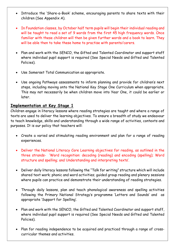- Introduce the 'Share-a-Book' scheme, encouraging parents to share texts with their children (See Appendix A).
- In Foundation classes, by October half term pupils will begin their individual reading and will be taught to read a set of 9 words from the first 45 high frequency words. Once familiar with these children will then be given further words and a book to learn. They will be able then to take these home to practise with parents/carers.
- Plan and work with the SENCO, the Gifted and Talented Coordinator and support staff where individual pupil support is required (See Special Needs and Gifted and Talented Policies).
- Use Somerset Total Communication as appropriate.
- Use ongoing Pathways assessments to inform planning and provide for children's next steps, including moving onto the National Key Stage One Curriculum when appropriate. This may not necessarily be when children move into Year One, it could be earlier or later.

#### Implementation at Key Stage 1

Children engage in literacy lessons where reading strategies are taught and where a range of texts are used to deliver the learning objectives. To ensure a breadth of study we endeavour to teach knowledge, skills and understanding through a wide range of activities, contexts and purposes. It is our policy that teachers will:

- Create a varied and stimulating reading environment and plan for a range of reading experiences.
- Deliver the National Literacy Core Learning objectives for reading, as outlined in the three strands- 'Word recognition: decoding (reading) and encoding (spelling); Word structure and spelling; and Understanding and interpreting texts'.
- Deliver daily literacy lessons following the "Talk for writing" structure which will include shared text work; phonic and word activities; guided group reading and plenary sessions where pupils can practice and demonstrate their understanding of reading strategies.
- Through daily lessons, plan and teach phonological awareness and spelling activities following the Primary National Strategy's programme 'Letters and Sounds' and as appropriate 'Support for Spelling'.
- Plan and work with the SENCO, the Gifted and Talented Coordinator and support staff, where individual pupil support is required (See Special Needs and Gifted and Talented Policies).
- Plan for reading independence to be acquired and practiced through a range of crosscurricular themes and activities.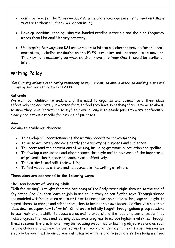- Continue to offer the 'Share-a-Book' scheme and encourage parents to read and share texts with their children (See Appendix A).
- Develop individual reading using the banded reading materials and the high frequency words from National Literacy Strategy.
- Use ongoing Pathways and KS1 assessments to inform planning and provide for children's next steps, including continuing on the EYFS curriculum until appropriate to move on. This may not necessarily be when children move into Year One, it could be earlier or later.

## Writing Policy

"Good writing arises out of having something to say – a view, an idea, a story, an exciting event and intriguing discoveries." Pie Corbett 2008

#### Rationale

We want our children to understand the need to organise and communicate their ideas effectively and accurately in written form, to feel they have something of value to write about, to know they have "something to say". Our overall aim is to enable pupils to write confidently, clearly and enthusiastically for a range of purposes.

#### Aims

We aim to enable our children:

- To develop an understanding of the writing process to convey meaning.
- To write accurately and confidently for a variety of purposes and audiences.
- To understand the conventions of writing, including grammar, punctuation and spelling.
- To develop a consistent and clear handwriting style and to be aware of the importance of presentation in order to communicate effectively.
- To plan, draft and edit their writing.
- To feel valued as writers and to appreciate the writing of others.

#### These aims are addressed in the following ways:

#### The Development of Writing Skills

"Talk for writing" is taught from the beginning of the Early Years right through to the end of Key Stage One. Children learn to join in and tell a story or non-fiction text. Through shared and modeled writing children are taught how to recognise the patterns, language and style, to repeat these, to change and adapt them, then to invent their own ideas, and finally to put their ideas down on paper; how to "write". Children are initially taught through guided group sessions to use their phonic skills, to space words and to understand the idea of a sentence. As they make progress the focus and learning objectives progress to include higher level skills. Through these sessions the practitioner may be focusing on particular learning objectives and as such helping children to achieve by correcting their work and identifying next steps. However we strongly believe that to encourage enthusiastic writers and to promote self-esteem we need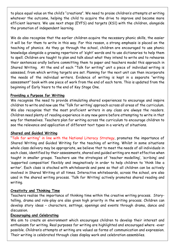to place equal value on the child's "creations". We need to praise children's attempts at writing whatever the outcome, helping the child to acquire the drive to improve and become more efficient learners. We use next steps (EYFS) and targets (KS1) with the children, alongside the promotion of independent learning.

We do also recognise that the earlier children acquire the necessary phonic skills, the easier it will be for them to write in this way. For this reason, a strong emphasis is placed on the teaching of phonics. As they go through the school, children are encouraged to use phonic knowledge alongside a growing repertoire of 'sight' words and to use dictionaries to help them to spell. Children are taught to plan and talk about what they intend to write and to rehearse their sentences orally before committing them to paper and teachers model this approach in Shared Writing. At the end of each "Talk for writing" unit a piece of individual writing is assessed, from which writing targets are set. Planning for the next unit can then incorporate the needs of the individual writers. Evidence of writing is kept in a separate "writing assessment" book with one piece of work from the end of each term. This is updated from the beginning of Early Years to the end of Key Stage One.

#### Providing a Purpose for Writing

We recognise the need to provide stimulating shared experiences to encourage and inspire children to write and now use the 'Talk for writing' approach across all areas of the curriculum. We also recognise that the most proficient writers in any class are always the readers. Children need plenty of reading experience in any new genre before attempting to write in that way for themselves. Teachers plan for writing across the curriculum to encourage children to see the relevance and application of different text types in a variety of situations.

#### Shared and Guided Writing

"Talk for writing" in line with the National Literacy Strategy, promotes the importance of Shared Writing and Guided Writing for the teaching of writing. Whilst in some situations whole class delivery may be appropriate, we believe that to meet the needs of all individuals in each class, identified by their assessments, shared and guided writing are most effective when taught in smaller groups. Teachers use the strategies of 'teacher modelling', 'scribing' and 'supported composition' flexibly and imaginatively in order to help children to 'think like a writer'. Each class is stocked with whiteboards and pens so that all children can be actively involved in Shared Writing at all times. Interactive whiteboards, across the school, are also used in the shared writing process. 'Talk for Writing' actively promotes shared reading and writing.

#### Creativity and Thinking Time

Teachers realise the importance of thinking time within the creative writing process. Storytelling, drama and role-play are also given high priority in the writing process. Children can develop story ideas – characters, settings, openings and events through drama, dance and discussion.

#### Encouraging and Celebrating

We aim to create an environment which encourages children to develop their interest and enthusiasm for writing. Real purposes for writing are highlighted and encouraged where -ever possible. Children's attempts at writing are valued as forms of communication and expression. Their writing is celebrated through class display work and celebration assemblies.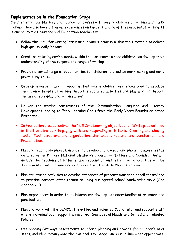#### Implementation in the Foundation Stage

Children enter our Nursery and Foundation classes with varying abilities of writing and markmaking. They also have differing experiences and understanding of the purposes of writing. It is our policy that Nursery and Foundation teachers will:

- Follow the "Talk for writing" structure, giving it priority within the timetable to deliver high quality daily lessons.
- Create stimulating environments within the classrooms where children can develop their understanding of the purpose and range of writing.
- Provide a varied range of opportunities for children to practise mark-making and early pre-writing skills.
- Develop 'emergent writing opportunities' where children are encouraged to produce their own attempts at writing through structured activities and 'play writing' through the use of role-play and writing areas.
- Deliver the writing constituents of the Communication, Language and Literacy Development leading to Early Learning Goals from the Early Years Foundation Stage Framework.
- In Foundation classes, deliver the NLS Core Learning objectives for Writing, as outlined in the five strands – Engaging with and responding with texts; Creating and shaping texts; Text structure and organization; Sentence structure and punctuation; and Presentation.
- Plan and teach daily phonics, in order to develop phonological and phonemic awareness as detailed in the Primary National Strategy's programme 'Letters and Sounds'. This will include the teaching of letter shape recognition and letter formation. This will be supplemented with actions and resources from the 'Jolly Phonics' scheme.
- Plan structured activities to develop awareness of presentation; good pencil control and to practise correct letter formation using our agreed school handwriting style (See Appendix C).
- Plan experiences in order that children can develop an understanding of grammar and punctuation.
- Plan and work with the SENCO, the Gifted and Talented Coordinator and support staff where individual pupil support is required (See Special Needs and Gifted and Talented Policies).
- Use ongoing Pathways assessments to inform planning and provide for children's next steps, including moving onto the National Key Stage One Curriculum when appropriate.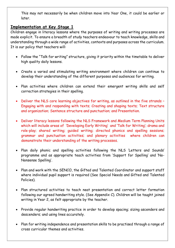This may not necessarily be when children move into Year One, it could be earlier or later.

#### Implementation at Key Stage 1

Children engage in literacy lessons where the purposes of writing and writing processes are made explicit. To ensure a breadth of study teachers endeavour to teach knowledge, skills and understanding through a wide range of activities, contexts and purposes across the curriculum. It is our policy that teachers will:

- Follow the "Talk for writing" structure, giving it priority within the timetable to deliver high quality daily lessons.
- Create a varied and stimulating writing environment where children can continue to develop their understanding of the different purposes and audiences for writing.
- Plan activities where children can extend their emergent writing skills and self correction strategies in their spelling.
- Deliver the NLS core learning objectives for writing, as outlined in the five strands -Engaging with and responding with texts; Creating and shaping texts; Text structure and organization; Sentence structure and punctuation; and Presentation.
- Deliver literacy lessons following the NLS Framework and Medium Term Planning Units which will include areas of 'Developing Early Writing' and 'Talk for Writing'; drama and role-play; shared writing; guided writing; directed phonics and spelling sessions; grammar and punctuation activities; and plenary activities where children can demonstrate their understanding of the writing processes.
- Plan daily phonic and spelling activities following the NLS 'Letters and Sounds' programme and as appropriate teach activities from 'Support for Spelling' and 'No-Nonsense Spelling'.
- Plan and work with the SENCO, the Gifted and Talented Coordinator and support staff where individual pupil support is required (See Special Needs and Gifted and Talented Policies).
- Plan structured activities to teach neat presentation and correct letter formation following our agreed handwriting style. (See Appendix C). Children will be taught joined writing in Year 2, as felt appropriate by the teacher.
- Provide regular handwriting practice in order to develop spacing; sizing ascenders and descenders; and using lines accurately.
- Plan for writing independence and presentation skills to be practised through a range of cross curricular themes and activities.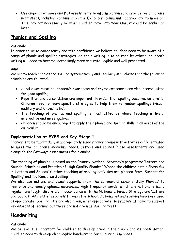Use ongoing Pathways and KS1 assessments to inform planning and provide for children's next steps, including continuing on the EYFS curriculum until appropriate to move on. This may not necessarily be when children move into Year One, it could be earlier or later.

## Phonics and Spelling

#### Rationale

In order to write competently and with confidence we believe children need to be aware of a range of phonic and spelling strategies. As their writing is to be read by others, children's writing will need to become increasingly more accurate, legible and well presented.

#### Aims

We aim to teach phonics and spelling systematically and regularly in all classes and the following principles are followed:

- Aural discrimination, phonemic awareness and rhyme awareness are vital prerequisites for good spelling.
- Repetition and consolidation are important, in order that spelling becomes automatic. Children need to learn specific strategies to help them remember spellings (visual, auditory and kinaesthetic).
- The teaching of phonics and spelling is most effective where teaching is lively, interactive and investigative.
- Children should be encouraged to apply their phonic and spelling skills in all areas of the curriculum.

#### Implementation at EYFS and Key Stage 1

Phonics is to be taught daily in appropriately sized smaller groups with activities differentiated to meet the children's individual needs. Letters and sounds Phase assessments are used alongside the Pathways assessments for planning.

The teaching of phonics is based on the Primary National Strategy's programme 'Letters and Sounds: Principles and Practice of High Quality Phonics.' Where the children attain Phase Six in 'Letters and Sounds' further teaching of spelling activities are planned from 'Support for Spelling' and 'No Nonsense Spelling'.

We also use actions and visual supports from the commercial scheme 'Jolly Phonics' to reinforce phoneme/grapheme awareness. High frequency words, which are not phonetically regular, are taught discretely in accordance with the National Literacy Strategy and 'Letters and Sounds'. As children progress through the school, dictionaries and spelling banks are used as appropriate. Spelling lists are also given, when appropriate, to practise at home to support key aspects of learning but these are not given as 'spelling tests'.

## **Handwriting**

#### Rationale

We believe it is important for children to develop pride in their work and its presentation. Children need to develop clear legible handwriting for all curriculum areas.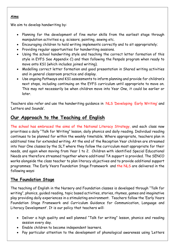#### Aims

We aim to develop handwriting by:

- Planning for the development of fine motor skills from the earliest stage through manipulation activities e.g. scissors, painting, sewing etc.
- Encouraging children to hold writing implements correctly and to sit appropriately;
- Providing regular opportunities for handwriting sessions.
- Using the school handwriting style and teaching the correct letter formation of this style in EYFS See Appendix C) and then following the Penpals program when ready to move onto KS1 (which includes joined writing).
- Modelling correct letter formation and good presentation in Shared writing activities and in general classroom practice and display.
- Use ongoing Pathways and KS1 assessments to inform planning and provide for children's next steps, including continuing on the EYFS curriculum until appropriate to move on. This may not necessarily be when children move into Year One, it could be earlier or later.

Teachers also refer and use the handwriting guidance in NLS 'Developing Early Writing' and 'Letters and Sounds'.

## Our Approach to the Teaching of English

The school has embraced the aims of the National Literacy Strategy, and each class now prioritises a daily "Talk for Writing" lesson, daily phonics and daily reading. Individual reading continues to be planned for within the weekly timetable. Where appropriate, teachers plan in additional time for extended writing. At the end of the Reception Year children are streamed into Year One classes by the SLT where they follow the curriculum most appropriate for their needs, and again when moving from Year 1 to 2. Children with identified Special Educational Needs are therefore streamed together where additional TA support is provided. The SENCO works alongside the class teacher to plan literacy objectives and to provide additional support programmes. The Early Years Foundation Stage Framework and the NLS are delivered in the following ways:

#### The Foundation Stage

The teaching of English in the Nursery and Foundation classes is developed through "Talk for writing", phonics, guided reading, topic based activities, stories, rhymes, games and imaginative play providing daily experiences in a stimulating environment. Teachers follow the 'Early Years Foundation Stage Framework and Curriculum Guidance for Communication, Language and Literacy Development'. It is our policy that teachers will:

- Deliver a high quality and well planned "Talk for writing" lesson, phonics and reading session every day.
- Enable children to become independent learners.
- Pay particular attention to the development of phonological awareness using 'Letters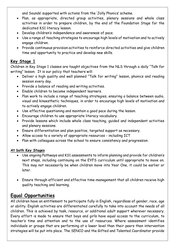and Sounds' supported with actions from the 'Jolly Phonics' scheme.

- Plan, as appropriate, directed group activities, plenary sessions and whole class activities in order to prepare children, by the end of the Foundation Stage for the dedicated KS1 literacy lesson.
- Develop children's independence and awareness of pace.
- Use a range of teaching strategies to encourage high levels of motivation and to actively engage children.
- Provide continuous provision activities to reinforce directed activities and give children time and opportunity to practice and develop new skills.

#### Key Stage 1

Children in Key Stage 1 classes are taught objectives from the NLS through a daily "Talk for writing" lesson. It is our policy that teachers will:

- Deliver a high quality and well planned "Talk for writing" lesson, phonics and reading session every day.
- Provide a balance of reading and writing activities.
- Enable children to become independent learners.
- Plan work to include a range of teaching strategies, ensuring a balance between audio, visual and kinaesthetic techniques, in order to encourage high levels of motivation and to actively engage children.
- Use effective questioning and maintain a good pace during the lesson.
- Encourage children to use appropriate literacy vocabulary.
- Provide lessons which include whole class teaching, guided and independent activities and plenary sessions.
- Ensure differentiation and plan positive, targeted support as necessary.
- Allow access to a variety of appropriate resources including ICT
- Plan with colleagues across the school to ensure consistency and progression.

#### At both Key Stages

- Use ongoing Pathways and KS1 assessments to inform planning and provide for children's next steps, including continuing on the EYFS curriculum until appropriate to move on. This may not necessarily be when children move into Year One, it could be earlier or later.
- Ensure through efficient and effective time-management that all children receive high quality teaching and learning.

## Equal Opportunities

All children have an entitlement to participate fully in English, regardless of gender, race, age or ability. English activities are differentiated carefully to take into account the needs of all children. This is achieved by task, resource, or additional adult support wherever necessary. Every effort is made to ensure that boys and girls have equal access to the curriculum, to teacher's time and attention and to the use of resources. Where assessment identifies individuals or groups that are performing at a lower level than their peers then intervention strategies will be put into place. The SENCO and the Gifted and Talented Coordinator provide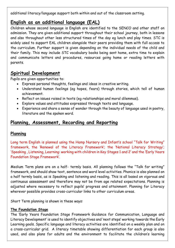additional literacy/language support both within and out of the classroom setting.

## English as an additional language (EAL)

Children whose second language is English are identified to the SENCO and other staff on admission. They are given additional support throughout their school journey, both in lessons and also throughout other less structured times of the day eg lunch and play times. STC is widely used to support EAL children alongside their peers providing them with full access to the curriculum. Further support is given depending on the individual needs of the child and their family. This may include STC vocabulary books being sent home, extra time to explain and communicate letters and procedures, resources going home or reading letters with parents.

## Spiritual Development

Pupils are given opportunities to:

- Express personal thoughts, feelings and ideas in creative writing.
- Understand human feelings (eg hopes, fears) through stories, which tell of human achievement.
- Reflect on issues raised in texts (eg relationships and moral dilemmas).
- Explore values and attitudes expressed through texts and language.
- Experience and share a sense of wonder through the beauty of language used in poetry, literature and the spoken word.

## Planning, Assessment, Recording and Reporting

#### Planning

Long term English is planned using the Hamp Nursery and Infant's school "Talk for Writing" framework, the 'Renewal of the Literacy Framework'; the 'National Literacy Strategy'; 'Speaking , Listening, Learning: working with children in Key Stages 1 and 2' and the 'Early Years Foundation Stage Framework'.

Medium Term plans are on a half- termly basis. All planning follows the "Talk for writing" framework, and should show text, sentence and word level activities. Phonics is also planned on a half termly basis, as is Speaking and listening and reading. This is all based on vigorous and continuous assessment and therefore may not be from age related expectations. Planning is adjusted where necessary to reflect pupils' progress and attainment. Planning for Literacy wherever possible provides cross-curricular links to other curriculum areas.

Short Term planning is shown in these ways:

#### The Foundation Stage

The 'Early Years Foundation Stage Framework Guidance for Communication, Language and Literacy Development' is used to identify objectives and 'next steps' working towards the Early Learning goals. Specific language and literacy activities are identified on a weekly plan and on a cross-curricular grid. A literacy timetable showing differentiation for each group is also used, and also plans for adults and the environment to facilitate the children's learning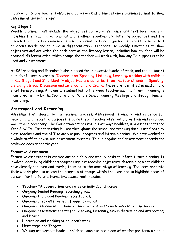.Foundation Stage teachers also use a daily (week at a time) phonics planning format to show assessment and next steps.

#### Key Stage 1

Weekly planning must include the objectives for word, sentence and text level teaching, including the teaching of phonics and spelling; speaking and listening objectives and the intended outcomes or audience. These are annotated and adjusted as necessary to reflect children's needs and to build in differentiation. Teachers use weekly timetables to show objectives and activities for each part of the literacy lesson, including how children will be grouped, differentiation, which groups the teacher will work with, how any TA support is to be used and Assessment.

At KS1 speaking and listening is also planned for in discrete blocks of work, and can be taught outside of literacy lessons. Teachers use 'Speaking, Listening, Learning: working with children in Key Stage 1 and 2' to identify objectives and activities from the four strands - Speaking, Listening , Group Discussion and Interaction and Drama. These are identified in medium and short term planning. All plans are submitted to the Head Teacher each half term. Planning is monitored termly by the Coordinator at Whole School Planning Meetings and through teacher monitoring.

#### Assessment and Recording

Assessment is integral to the learning process. Assessment is ongoing and evidence for recording and reporting purposes is gained from teacher observation; written and recorded work where necessary; The Foundation Stage Profile, Pathways booklets, KS1 assessments and Year 2 SATs. Target setting is used throughout the school and tracking data is used both by class teachers and the SLT to analyse pupil progress and inform planning. We have worked as a whole staff to revise our assessment systems. This is ongoing and assessment records are reviewed each academic year.

#### Formative Assessment

Formative assessment is carried out on a daily and weekly basis to inform future planning. It involves identifying children's progress against teaching objectives, determining what children have already achieved and moving them on to the next stage of learning. Teachers annotate their weekly plans to assess the progress of groups within the class and to highlight areas of concern for the future. Formative assessment includes:

- Teacher/TA observations and notes on individual children.
- On-going Guided Reading recording grids.
- On-going Individual Reading record cards.
- On-going checklists for high frequency words
- On-going assessment of phonics using 'Letters and Sounds' assessment materials.
- On-going assessment sheets for Speaking, Listening, Group discussion and interaction; and Drama.
- Discussion and marking of children's work.
- Next steps and Targets.
- Writing assessment books children complete one piece of writing per term which is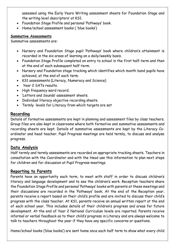assessed using the Early Years Writing assessment sheets for Foundation Stage and the writing level descriptors' at KS1.

- Foundation Stage Profile and personal 'Pathways' book.
- Home/school assessment books ( 'blue books')

#### Summative Assessments

Summative assessments are:

- Nursery and Foundation Stage pupil 'Pathways' book where children's attainment is recorded in the six areas of learning on a daily/weekly basis.
- Foundation Stage Profile completed on entry to school in the first half-term and then at the end of each subsequent half-term.
- Nursery and Foundation stage tracking which identifies which month band pupils have achieved, at the end of each term.
- KS1 assessments (Literacy, Numeracy and Science)
- Year 2 SATs results.
- High frequency word record.
- 'Letters and Sounds' assessment sheets.
- Individual literacy objective recording sheets.
- Termly levels for Literacy from which targets are set

#### Recording

Details of formative assessments are kept in planning and assessment files by class teachers. Group files are also kept in classrooms where both formative and summative assessments and recording sheets are kept. Details of summative assessments are kept by the Literacy Coordinator and head teacher. Pupil Progress meetings are held termly, to discuss and analyse progress.

#### Data Analysis

Half termly and termly assessments are recorded on appropriate tracking sheets. Teachers in consultation with the Coordinator and with the Head use this information to plan next steps for children and for discussion at Pupil Progress meetings.

#### Reporting to Parents

Parents have an opportunity each term, to meet with staff in order to discuss children's literacy and language development and to see the children's work. Reception teachers share the Foundation Stage Profile and personal 'Pathways' books with parents at these meetings and their discussions are recorded in the 'Pathways' book. At the end of the Reception year, parents receive a report based on their child's profile and are invited to discuss their child's progress with the class teacher. At KS1, parents receive an annual written report at the end of each school year. This includes details of their children's progress and areas for future development. At the end of Year 2 National Curriculum levels are reported. Parents receive informal or verbal feedback as to their child's progress in Literacy and are always welcome to talk to teachers throughout the year if they have any specific concerns or questions.

Home/school books ('blue books') are sent home once each half term to show what every child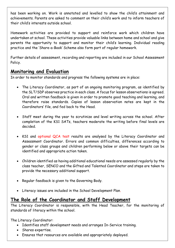has been working on. Work is annotated and levelled to show the child's attainment and achievements. Parents are asked to comment on their child's work and to inform teachers of their child's interests outside school.

Homework activities are provided to support and reinforce work which children have undertaken at school. These activities provide valuable links between home and school and give parents the opportunity to support and monitor their child's learning. Individual reading practice and the 'Share-a-Book' Scheme also form part of regular homework.

Further details of assessment, recording and reporting are included in our School Assessment Policy.

### Monitoring and Evaluation

In order to monitor standards and progress the following systems are in place:

- The Literacy Coordinator, as part of an ongoing monitoring program, as identified by the SLT/SDP observes practice in each class. A focus for lesson observations is agreed. Oral and written feedback is given in order to promote good teaching and learning, and therefore raise standards. Copies of lesson observation notes are kept in the Coordinators' file, and fed back to the Head.
- Staff meet during the year to scrutinize and level writing across the school. After completion of the KS1 SATs, teachers moderate the writing before final levels are decided.
- KS1 and optional QCA test results are analysed by the Literacy Coordinator and Assessment Coordinator. Errors and common difficulties, differences according to gender or class groups and children performing below or above their targets can be identified and appropriate action taken.
- Children identified as having additional educational needs are assessed regularly by the class teacher, SENCO and the Gifted and Talented Coordinator and steps are taken to provide the necessary additional support.
- Regular feedback is given to the Governing Body.
- Literacy issues are included in the School Development Plan.

## The Role of the Coordinator and Staff Development

The Literacy Coordinator is responsible, with the Head Teacher, for the monitoring of standards of literacy within the school.

The Literacy Coordinator:

- Identifies staff development needs and arranges In-Service training.
- Shares expertise.
- Ensures that resources are available and appropriately deployed.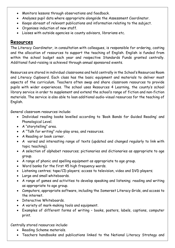- Monitors lessons through observations and feedback.
- Analyses pupil data where appropriate alongside the Assessment Coordinator.
- Keeps abreast of relevant publications and information relating to the subject.
- Organises induction of new staff.
- Liaises with outside agencies ie county advisors, librarians etc.

### Resources

The Literacy Coordinator, in consultation with colleagues, is responsible for ordering, costing and the allocation of resources to support the teaching of English. English is funded from within the school budget each year and respective Standards Funds granted centrally. Additional fund-raising is achieved through annual sponsored events.

Resources are stored in individual classrooms and held centrally in the School's Resources Room and Literacy Cupboard. Each class has the basic equipment and materials to deliver most aspects of the curriculum. Teachers often swap and share classroom resources to provide pupils with wider experiences. The school uses Resources 4 Learning, the county's school library service in order to supplement and extend the school's range of fiction and non-fiction materials. The service is also able to loan additional audio-visual resources for the teaching of English.

General classroom resources include:

- Individual reading books levelled according to 'Book Bands for Guided Reading' and Phonological Level.
- A "storytelling" area.
- A "Talk for writing" role-play area, and resources.
- A Reading or book corner.
- A varied and interesting range of texts (updated and changed regularly to link with topic teaching).
- A selection of alphabet resources; pictionaries and dictionaries as appropriate to age group.
- A range of phonic and spelling equipment as appropriate to age group.
- Word banks for the first 45 high frequency words.
- Listening centres; tape/CD players; access to television, video and DVD players;
- Large and small whiteboards.
- A range of games and activities to develop speaking and listening; reading and writing as appropriate to age group.
- Computers, appropriate software, including the Somerset Literacy Grids, and access to the internet.
- Interactive Whiteboards.
- A variety of mark-making tools and equipment.
- Examples of different forms of writing books, posters, labels, captions, computer print.

Centrally stored resources include:

- Reading Scheme materials.
- Teachers handbooks and publications linked to the National Literacy Strategy and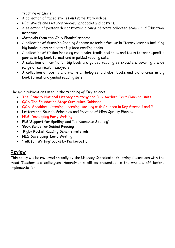teaching of English.

- A collection of taped stories and some story videos.
- BBC 'Words and Pictures' videos, handbooks and posters.
- A selection of posters demonstrating a range of texts collected from 'Child Education' magazine.
- Materials from the 'Jolly Phonics' scheme.
- A collection of Sunshine Reading Scheme materials for use in literacy lessons: including big books, plays and sets of guided reading books.
- A collection of fiction including real books, traditional tales and texts to teach specific genres in big book format and in guided reading sets.
- A selection of non-fiction big book and guided reading sets/posters covering a wide range of curriculum subjects.
- A collection of poetry and rhyme anthologies, alphabet books and pictionaries in big book format and guided reading sets.

The main publications used in the teaching of English are:

- The Primary National Literacy Strategy and PLS Medium Term Planning Units
- QCA The Foundation Stage Curriculum Guidance
- QCA Speaking, Listening, Learning: working with Children in Key Stages 1 and 2
- Letters and Sounds: Principles and Practice of High Quality Phonics
- NLS Developing Early Writing
- PLS 'Support for Spelling' and 'No Nonsense Spelling'.
- 'Book Bands for Guided Reading'
- Rigby Rocket Reading Scheme materials
- NLS Developing Early Writing
- 'Talk for Writing' books by Pie Corbett.

## Review

This policy will be reviewed annually by the Literacy Coordinator following discussions with the Head Teacher and colleagues. Amendments will be presented to the whole staff before implementation.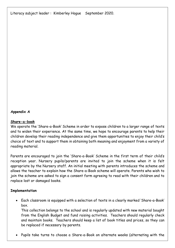Literacy subject leader : Kimberley Hague September 2020.

#### Appendix A

#### Share-a-book

We operate the 'Share-a-Book' Scheme in order to expose children to a larger range of texts and to widen their experience. At the same time, we hope to encourage parents to help their children develop their reading independence and give them opportunities to enjoy their child's choice of text and to support them in obtaining both meaning and enjoyment from a variety of reading material.

Parents are encouraged to join the 'Share-a-Book' Scheme in the first term of their child's reception year. Nursery pupils/parents are invited to join the scheme when it is felt appropriate by the Nursery staff. An initial meeting with parents introduces the scheme and allows the teacher to explain how the Share-a-Book scheme will operate. Parents who wish to join the scheme are asked to sign a consent form agreeing to read with their children and to replace lost or damaged books.

#### Implementation

 Each classroom is equipped with a selection of texts in a clearly marked 'Share-a-Book' box.

This collection belongs to the school and is regularly updated with new material bought from the English Budget and fund raising activities. Teachers should regularly check and maintain books. Teachers should keep a list of book titles and prices, so they can be replaced if necessary by parents.

Pupils take turns to choose a Share-a-Book on alternate weeks (alternating with the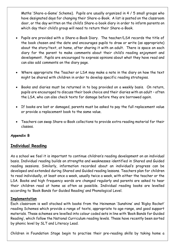Maths 'Share-a-Game' Scheme). Pupils are usually organized in 4 / 5 small groups who have designated days for changing their Share-a-Book. A list is posted on the classroom door, or the day written on the child's Share-a-book diary in order to inform parents on which day their child's group will need to return their Share-a-Book.

- Pupils are provided with a Share-a-Book Diary. The teacher/LSA records the title of the book chosen and the date and encourages pupils to draw or write (as appropriate) about the story/text, at home, after sharing it with an adult. There is space on each diary for the parent to make comments about their child's reading enjoyment and development. Pupils are encouraged to express opinions about what they have read and can also add comments on the diary page.
- Where appropriate the Teacher or LSA may make a note in the diary on how the text might be shared with children in order to develop specific reading strategies.
- Books and diaries must be returned in to bag provided on a weekly basis. On return, pupils are encouraged to discuss their book choice and their diaries with an adult – often the LSA, who can also check texts for damage before they are borrowed again.
- If books are lost or damaged, parents must be asked to pay the full replacement value or provide a replacement book to the same value.
- Teachers can swap Share-a-Book collections to provide extra reading material for their classes.

#### Appendix B

#### Individual Reading

As a school we feel it is important to continue children's reading development on an individual basis. Individual reading builds on strengths and weaknesses identified in Shared and Guided reading sessions. Similarly, information recorded about an individual's progress can be developed and extended during Shared and Guided reading lessons. Teachers plan for children to read individually, at least once a week, usually twice a week, with either the teacher or the LSA. Books and high frequency words are changed regularly and parents are asked to hear their children read at home as often as possible. Individual reading books are levelled according to 'Book Bands for Guided Reading' and Phonological Level.

#### **Implementation**

Each classroom is well stocked with books from the Heineman 'Sunshine' and 'Rigby Rocket' reading Schemes which provide a range of texts, appropriate to age-range, and good support materials. These schemes are levelled into colour coded sets in line with 'Book Bands for Guided Reading', which follow the National Curriculum reading levels. These have recently been sorted by phonic level by SLT and Literacy Lead.

Children in Foundation Stage begin to practise their pre-reading skills by taking home a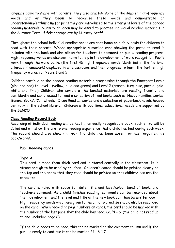language game to share with parents. They also practise some of the simpler high-frequency words and as they begin to recognise these words and demonstrate an understanding/enthusiasm for print they are introduced to the emergent levels of the banded reading materials. Nursery children may be asked to practise individual reading materials in the Summer Term, if felt appropriate by Nursery Staff.

Throughout the school individual reading books are sent home on a daily basis for children to read with their parents. Where appropriate a marker card showing the pages to read is included with the book and also allows for teachers to comment on pupils reading progress. High frequency words are also sent home to help in the development of word recognition. Pupils work through the word banks (the first 45 high frequency words identified in the National Literacy Framework) displayed in all classrooms and then progress to learn the further high frequency words for Years 1 and 2.

Children continue on the banded reading materials progressing through the Emergent Levels (pink and red) to Level 1 (yellow, blue and green) and Level 2 (orange, turquoise, purple, gold, white and lime.) Children who complete the banded materials are reading fluently and confidently and can proceed to read a collection of real books such as 'Happy Families' series, 'Banana Books', 'Cartwheels', 'I can Read ....' series and a selection of paperback novels housed centrally in the school library. Children with additional educational needs are supported by the SENCO.

#### Class Reading Record Book

Recording of individual reading will be kept in an easily recognisable book. Each entry will be dated and will show the one to one reading experience that a child has had during each week. The record should also show (in red) if a child has been absent or has forgotten his book/words.

#### Pupil Reading Cards

#### Type A

This card is made from thick card and is stored centrally in the classroom. It is strong enough to be used by children. Children's names should be printed clearly on the top and the books that they read should be printed so that children can use the cards too.

The card is ruled with space for date; title and level/colour band of book; and teacher's comment. As a child finishes reading, comments can be recorded about their development and the level and title of the new book can then be written down. High frequency words which are given to the child to practise should also be recorded on the card. When recording page numbers on cards, the card should be marked with the number of the last page that the child has read, i.e. P1 - 6 (the child has read up to and including page 6).

If the child needs to re-read, this can be marked on the comment column and if the pupil is ready to continue it can be marked  $P1 - 6$   $\Box$  7.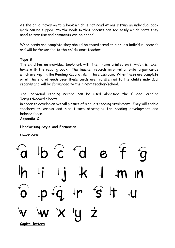As the child moves on to a book which is not read at one sitting an individual book mark can be slipped into the book so that parents can see easily which parts they need to practise and comments can be added.

When cards are complete they should be transferred to a child's individual records and will be forwarded to the child's next teacher.

#### Type B

The child has an individual bookmark with their name printed on it which is taken home with the reading book. The teacher records information onto larger cards which are kept in the Reading Record file in the classroom. When these are complete or at the end of each year these cards are transferred to the child's individual records and will be forwarded to their next teacher/school.

The individual reading record can be used alongside the Guided Reading Target/Record Sheets

in order to develop an overall picture of a child's reading attainment. They will enable teachers to assess and plan future strategies for reading development and independence.

Appendix C

#### Handwriting Style and Formation

Lower case

 $a$  b c d e f  $g$ h i ij k II m n  $\mathcal{S}$  $\mathbf{y}^{\prime}$  x w  $\mathbf{v}$ Capital letters